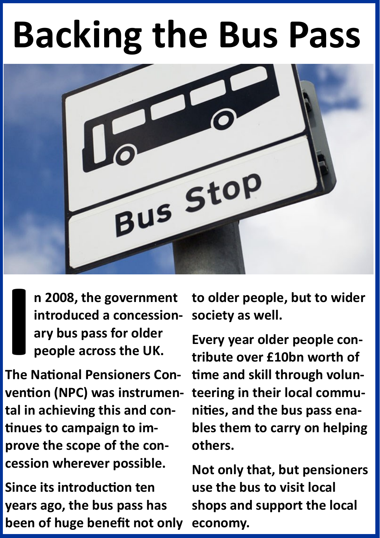## **Backing the Bus Pass**



**n 2008, the government introduced a concessionary bus pass for older people across the UK.** 

**I**<br> **I**<br> **I**<br> **I**<br> **I**<br> **I The National Pensioners Convention (NPC) was instrumental in achieving this and continues to campaign to improve the scope of the concession wherever possible.**

**Since its introduction ten years ago, the bus pass has been of huge benefit not only**  **to older people, but to wider society as well.**

**Every year older people contribute over £10bn worth of time and skill through volunteering in their local communities, and the bus pass enables them to carry on helping others.**

**Not only that, but pensioners use the bus to visit local shops and support the local economy.**